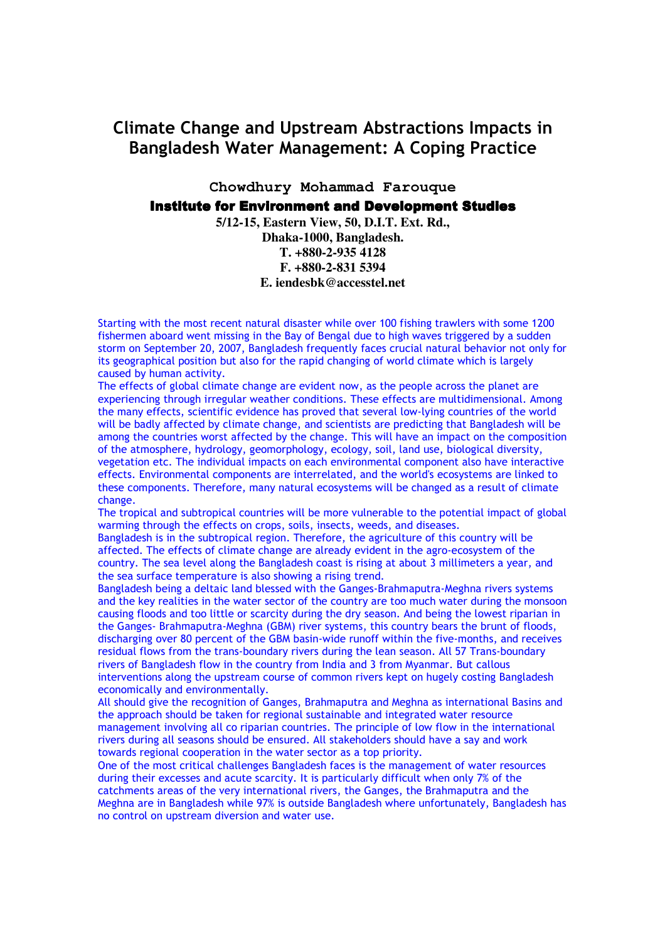## Climate Change and Upstream Abstractions Impacts in Bangladesh Water Management: A Coping Practice

**Chowdhury Mohammad Farouque** 

## **Institute for Environment and Development Studies**

**5/12-15, Eastern View, 50, D.I.T. Ext. Rd., Dhaka-1000, Bangladesh. T. +880-2-935 4128 F. +880-2-831 5394 E. iendesbk@accesstel.net**

Starting with the most recent natural disaster while over 100 fishing trawlers with some 1200 fishermen aboard went missing in the Bay of Bengal due to high waves triggered by a sudden storm on September 20, 2007, Bangladesh frequently faces crucial natural behavior not only for its geographical position but also for the rapid changing of world climate which is largely caused by human activity.

The effects of global climate change are evident now, as the people across the planet are experiencing through irregular weather conditions. These effects are multidimensional. Among the many effects, scientific evidence has proved that several low-lying countries of the world will be badly affected by climate change, and scientists are predicting that Bangladesh will be among the countries worst affected by the change. This will have an impact on the composition of the atmosphere, hydrology, geomorphology, ecology, soil, land use, biological diversity, vegetation etc. The individual impacts on each environmental component also have interactive effects. Environmental components are interrelated, and the world's ecosystems are linked to these components. Therefore, many natural ecosystems will be changed as a result of climate change.

The tropical and subtropical countries will be more vulnerable to the potential impact of global warming through the effects on crops, soils, insects, weeds, and diseases.

Bangladesh is in the subtropical region. Therefore, the agriculture of this country will be affected. The effects of climate change are already evident in the agro-ecosystem of the country. The sea level along the Bangladesh coast is rising at about 3 millimeters a year, and the sea surface temperature is also showing a rising trend.

Bangladesh being a deltaic land blessed with the Ganges-Brahmaputra-Meghna rivers systems and the key realities in the water sector of the country are too much water during the monsoon causing floods and too little or scarcity during the dry season. And being the lowest riparian in the Ganges- Brahmaputra-Meghna (GBM) river systems, this country bears the brunt of floods, discharging over 80 percent of the GBM basin-wide runoff within the five-months, and receives residual flows from the trans-boundary rivers during the lean season. All 57 Trans-boundary rivers of Bangladesh flow in the country from India and 3 from Myanmar. But callous interventions along the upstream course of common rivers kept on hugely costing Bangladesh economically and environmentally.

All should give the recognition of Ganges, Brahmaputra and Meghna as international Basins and the approach should be taken for regional sustainable and integrated water resource management involving all co riparian countries. The principle of low flow in the international rivers during all seasons should be ensured. All stakeholders should have a say and work towards regional cooperation in the water sector as a top priority.

One of the most critical challenges Bangladesh faces is the management of water resources during their excesses and acute scarcity. It is particularly difficult when only 7% of the catchments areas of the very international rivers, the Ganges, the Brahmaputra and the Meghna are in Bangladesh while 97% is outside Bangladesh where unfortunately, Bangladesh has no control on upstream diversion and water use.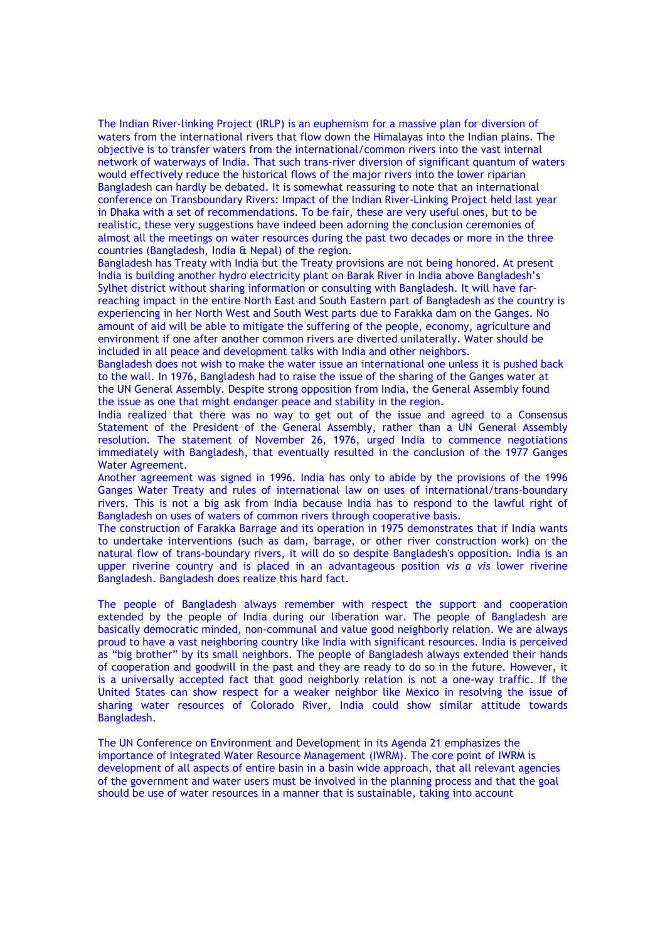The Indian River-linking Project (IRLP) is an euphemism for a massive plan for diversion of waters from the international rivers that flow down the Himalayas into the Indian plains. The objective is to transfer waters from the international/common rivers into the vast internal network of waterways of India. That such trans-river diversion of significant quantum of waters would effectively reduce the historical flows of the major rivers into the lower riparian Bangladesh can hardly be debated. It is somewhat reassuring to note that an international conference on Transboundary Rivers: Impact of the Indian River-Linking Project held last year in Dhaka with a set of recommendations. To be fair, these are very useful ones, but to be realistic, these very suggestions have indeed been adorning the conclusion ceremonies of almost all the meetings on water resources during the past two decades or more in the three countries (Bangladesh, India & Nepal) of the region.

Bangladesh has Treaty with India but the Treaty provisions are not being honored. At present India is building another hydro electricity plant on Barak River in India above Bangladesh's Sylhet district without sharing information or consulting with Bangladesh. It will have farreaching impact in the entire North East and South Eastern part of Bangladesh as the country is experiencing in her North West and South West parts due to Farakka dam on the Ganges. No amount of aid will be able to mitigate the suffering of the people, economy, agriculture and environment if one after another common rivers are diverted unilaterally. Water should be included in all peace and development talks with India and other neighbors.

Bangladesh does not wish to make the water issue an international one unless it is pushed back to the wall. In 1976, Bangladesh had to raise the issue of the sharing of the Ganges water at the UN General Assembly. Despite strong opposition from India, the General Assembly found the issue as one that might endanger peace and stability in the region.

India realized that there was no way to get out of the issue and agreed to a Consensus Statement of the President of the General Assembly, rather than a UN General Assembly resolution. The statement of November 26, 1976, urged India to commence negotiations immediately with Bangladesh, that eventually resulted in the conclusion of the 1977 Ganges Water Agreement.

Another agreement was signed in 1996. India has only to abide by the provisions of the 1996 Ganges Water Treaty and rules of international law on uses of international/trans-boundary rivers. This is not a big ask from India because India has to respond to the lawful right of Bangladesh on uses of waters of common rivers through cooperative basis.

The construction of Farakka Barrage and its operation in 1975 demonstrates that if India wants to undertake interventions (such as dam, barrage, or other river construction work) on the natural flow of trans-boundary rivers, it will do so despite Bangladesh's opposition. India is an upper riverine country and is placed in an advantageous position vis  $a$  vis lower riverine Bangladesh. Bangladesh does realize this hard fact.

The people of Bangladesh always remember with respect the support and cooperation extended by the people of India during our liberation war. The people of Bangladesh are basically democratic minded, non-communal and value good neighborly relation. We are always proud to have a vast neighboring country like India with significant resources. India is perceived as "big brother" by its small neighbors. The people of Bangladesh always extended their hands of cooperation and goodwill in the past and they are ready to do so in the future. However, it is a universally accepted fact that good neighborly relation is not a one-way traffic. If the United States can show respect for a weaker neighbor like Mexico in resolving the issue of sharing water resources of Colorado River, India could show similar attitude towards Bangladesh.

The UN Conference on Environment and Development in its Agenda 21 emphasizes the importance of Integrated Water Resource Management (IWRM). The core point of IWRM is development of all aspects of entire basin in a basin wide approach, that all relevant agencies of the government and water users must be involved in the planning process and that the goal should be use of water resources in a manner that is sustainable, taking into account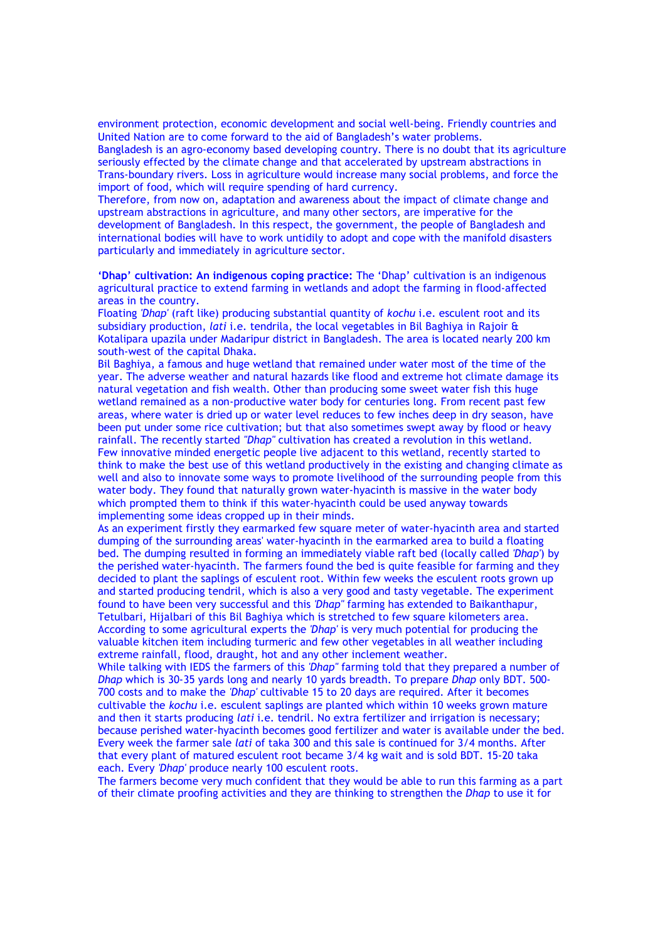environment protection, economic development and social well-being. Friendly countries and United Nation are to come forward to the aid of Bangladesh's water problems.

Bangladesh is an agro-economy based developing country. There is no doubt that its agriculture seriously effected by the climate change and that accelerated by upstream abstractions in Trans-boundary rivers. Loss in agriculture would increase many social problems, and force the import of food, which will require spending of hard currency.

Therefore, from now on, adaptation and awareness about the impact of climate change and upstream abstractions in agriculture, and many other sectors, are imperative for the development of Bangladesh. In this respect, the government, the people of Bangladesh and international bodies will have to work untidily to adopt and cope with the manifold disasters particularly and immediately in agriculture sector.

'Dhap' cultivation: An indigenous coping practice: The 'Dhap' cultivation is an indigenous agricultural practice to extend farming in wetlands and adopt the farming in flood-affected areas in the country.

Floating 'Dhap' (raft like) producing substantial quantity of kochu i.e. esculent root and its subsidiary production, lati i.e. tendrila, the local vegetables in Bil Baghiya in Rajoir & Kotalipara upazila under Madaripur district in Bangladesh. The area is located nearly 200 km south-west of the capital Dhaka.

Bil Baghiya, a famous and huge wetland that remained under water most of the time of the year. The adverse weather and natural hazards like flood and extreme hot climate damage its natural vegetation and fish wealth. Other than producing some sweet water fish this huge wetland remained as a non-productive water body for centuries long. From recent past few areas, where water is dried up or water level reduces to few inches deep in dry season, have been put under some rice cultivation; but that also sometimes swept away by flood or heavy rainfall. The recently started "Dhap" cultivation has created a revolution in this wetland. Few innovative minded energetic people live adjacent to this wetland, recently started to think to make the best use of this wetland productively in the existing and changing climate as well and also to innovate some ways to promote livelihood of the surrounding people from this water body. They found that naturally grown water-hyacinth is massive in the water body which prompted them to think if this water-hyacinth could be used anyway towards implementing some ideas cropped up in their minds.

As an experiment firstly they earmarked few square meter of water-hyacinth area and started dumping of the surrounding areas' water-hyacinth in the earmarked area to build a floating bed. The dumping resulted in forming an immediately viable raft bed (locally called 'Dhap') by the perished water-hyacinth. The farmers found the bed is quite feasible for farming and they decided to plant the saplings of esculent root. Within few weeks the esculent roots grown up and started producing tendril, which is also a very good and tasty vegetable. The experiment found to have been very successful and this 'Dhap" farming has extended to Baikanthapur, Tetulbari, Hijalbari of this Bil Baghiya which is stretched to few square kilometers area. According to some agricultural experts the 'Dhap' is very much potential for producing the valuable kitchen item including turmeric and few other vegetables in all weather including extreme rainfall, flood, draught, hot and any other inclement weather.

While talking with IEDS the farmers of this 'Dhap" farming told that they prepared a number of Dhap which is 30-35 yards long and nearly 10 yards breadth. To prepare Dhap only BDT. 500- 700 costs and to make the 'Dhap' cultivable 15 to 20 days are required. After it becomes cultivable the kochu i.e. esculent saplings are planted which within 10 weeks grown mature and then it starts producing *lati* i.e. tendril. No extra fertilizer and irrigation is necessary; because perished water-hyacinth becomes good fertilizer and water is available under the bed. Every week the farmer sale lati of taka 300 and this sale is continued for 3/4 months. After that every plant of matured esculent root became 3/4 kg wait and is sold BDT. 15-20 taka each. Every 'Dhap' produce nearly 100 esculent roots.

The farmers become very much confident that they would be able to run this farming as a part of their climate proofing activities and they are thinking to strengthen the Dhap to use it for